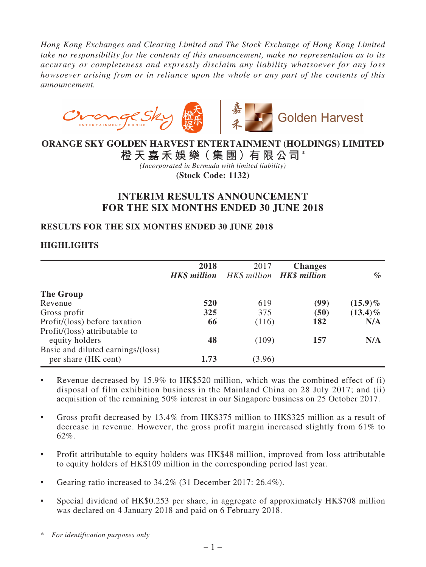*Hong Kong Exchanges and Clearing Limited and The Stock Exchange of Hong Kong Limited take no responsibility for the contents of this announcement, make no representation as to its accuracy or completeness and expressly disclaim any liability whatsoever for any loss howsoever arising from or in reliance upon the whole or any part of the contents of this announcement.*



# **ORANGE SKY GOLDEN HARVEST ENTERTAINMENT (HOLDINGS) LIMITED**

**橙 天 嘉 禾 娛 樂(集 團)有 限公司 \***

*(Incorporated in Bermuda with limited liability)* **(Stock Code: 1132)**

# **INTERIM RESULTS ANNOUNCEMENT FOR THE SIX MONTHS ENDED 30 JUNE 2018**

## **RESULTS FOR THE SIX MONTHS ENDED 30 JUNE 2018**

## **HIGHLIGHTS**

|                                                          | 2018<br><b>HK\$</b> million | 2017<br>HK\$ million <b>HK\$ million</b> | <b>Changes</b> | $\mathscr{A}_{\mathcal{O}}$ |
|----------------------------------------------------------|-----------------------------|------------------------------------------|----------------|-----------------------------|
| The Group                                                |                             |                                          |                |                             |
| Revenue                                                  | 520                         | 619                                      | (99)           | $(15.9)\%$                  |
| Gross profit                                             | 325                         | 375                                      | (50)           | $(13.4)\%$                  |
| Profit/(loss) before taxation                            | 66                          | (116)                                    | 182            | N/A                         |
| Profit/(loss) attributable to<br>equity holders          | 48                          | (109)                                    | 157            | N/A                         |
| Basic and diluted earnings/(loss)<br>per share (HK cent) | 1.73                        | (3.96)                                   |                |                             |

- Revenue decreased by  $15.9\%$  to HK\$520 million, which was the combined effect of (i) disposal of film exhibition business in the Mainland China on 28 July 2017; and (ii) acquisition of the remaining 50% interest in our Singapore business on 25 October 2017.
- Gross profit decreased by 13.4% from HK\$375 million to HK\$325 million as a result of decrease in revenue. However, the gross profit margin increased slightly from 61% to 62%.
- Profit attributable to equity holders was HK\$48 million, improved from loss attributable to equity holders of HK\$109 million in the corresponding period last year.
- Gearing ratio increased to 34.2% (31 December 2017: 26.4%).
- Special dividend of HK\$0.253 per share, in aggregate of approximately HK\$708 million was declared on 4 January 2018 and paid on 6 February 2018.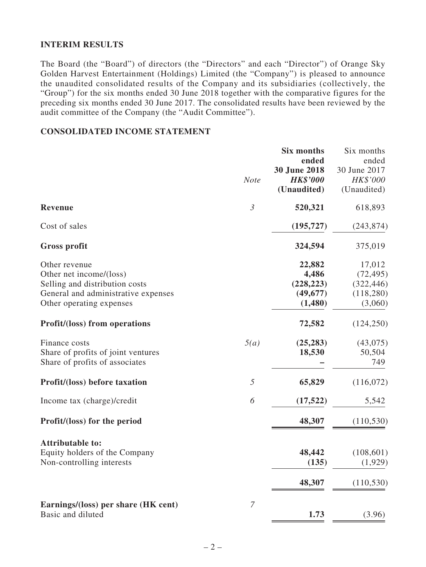### **INTERIM RESULTS**

The Board (the "Board") of directors (the "Directors" and each "Director") of Orange Sky Golden Harvest Entertainment (Holdings) Limited (the "Company") is pleased to announce the unaudited consolidated results of the Company and its subsidiaries (collectively, the "Group") for the six months ended 30 June 2018 together with the comparative figures for the preceding six months ended 30 June 2017. The consolidated results have been reviewed by the audit committee of the Company (the "Audit Committee").

### **CONSOLIDATED INCOME STATEMENT**

|                                                                                                                                               | <b>Note</b>    | <b>Six months</b><br>ended<br>30 June 2018<br><b>HK\$'000</b><br>(Unaudited) | Six months<br>ended<br>30 June 2017<br>HK\$'000<br>(Unaudited) |
|-----------------------------------------------------------------------------------------------------------------------------------------------|----------------|------------------------------------------------------------------------------|----------------------------------------------------------------|
| Revenue                                                                                                                                       | $\mathfrak{Z}$ | 520,321                                                                      | 618,893                                                        |
| Cost of sales                                                                                                                                 |                | (195, 727)                                                                   | (243, 874)                                                     |
| <b>Gross profit</b>                                                                                                                           |                | 324,594                                                                      | 375,019                                                        |
| Other revenue<br>Other net income/(loss)<br>Selling and distribution costs<br>General and administrative expenses<br>Other operating expenses |                | 22,882<br>4,486<br>(228, 223)<br>(49, 677)<br>(1,480)                        | 17,012<br>(72, 495)<br>(322, 446)<br>(118,280)<br>(3,060)      |
| <b>Profit/(loss)</b> from operations                                                                                                          |                | 72,582                                                                       | (124, 250)                                                     |
| Finance costs<br>Share of profits of joint ventures<br>Share of profits of associates                                                         | 5(a)           | (25, 283)<br>18,530                                                          | (43,075)<br>50,504<br>749                                      |
| Profit/(loss) before taxation                                                                                                                 | 5              | 65,829                                                                       | (116,072)                                                      |
| Income tax (charge)/credit                                                                                                                    | 6              | (17, 522)                                                                    | 5,542                                                          |
| Profit/(loss) for the period                                                                                                                  |                | 48,307                                                                       | (110, 530)                                                     |
| <b>Attributable to:</b><br>Equity holders of the Company<br>Non-controlling interests                                                         |                | 48,442<br>(135)<br>48,307                                                    | (108, 601)<br>(1,929)<br>(110, 530)                            |
| Earnings/(loss) per share (HK cent)<br>Basic and diluted                                                                                      | $\overline{7}$ | 1.73                                                                         | (3.96)                                                         |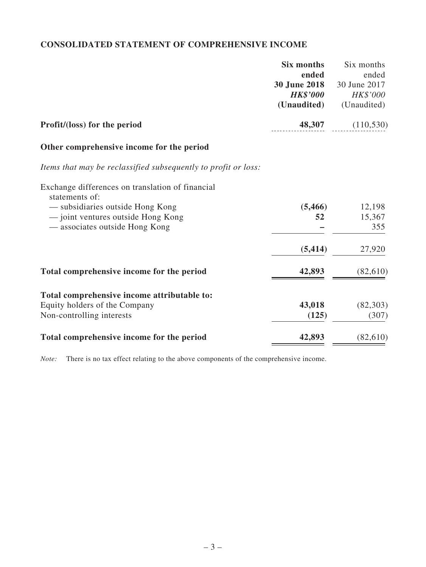# **CONSOLIDATED STATEMENT OF COMPREHENSIVE INCOME**

|                                                                    | <b>Six months</b>   | Six months   |
|--------------------------------------------------------------------|---------------------|--------------|
|                                                                    | ended               | ended        |
|                                                                    | <b>30 June 2018</b> | 30 June 2017 |
|                                                                    | <b>HK\$'000</b>     | HK\$'000     |
|                                                                    | (Unaudited)         | (Unaudited)  |
| Profit/(loss) for the period                                       | 48,307              | (110, 530)   |
| Other comprehensive income for the period                          |                     |              |
| Items that may be reclassified subsequently to profit or loss:     |                     |              |
| Exchange differences on translation of financial<br>statements of: |                     |              |
| — subsidiaries outside Hong Kong                                   | (5, 466)            | 12,198       |
| - joint ventures outside Hong Kong                                 | 52                  | 15,367       |
| — associates outside Hong Kong                                     |                     | 355          |
|                                                                    | (5, 414)            | 27,920       |
|                                                                    |                     |              |
| Total comprehensive income for the period                          | 42,893              | (82,610)     |
| Total comprehensive income attributable to:                        |                     |              |
| Equity holders of the Company                                      | 43,018              | (82, 303)    |
| Non-controlling interests                                          | (125)               | (307)        |
| Total comprehensive income for the period                          | 42,893              | (82, 610)    |

*Note:* There is no tax effect relating to the above components of the comprehensive income.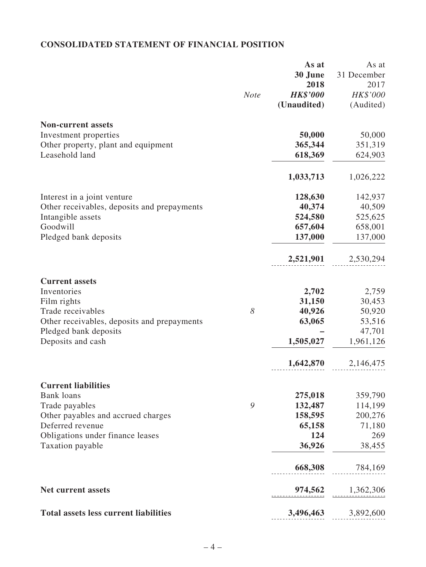# **CONSOLIDATED STATEMENT OF FINANCIAL POSITION**

|                                              |             | As at           | As at               |
|----------------------------------------------|-------------|-----------------|---------------------|
|                                              |             | 30 June         | 31 December         |
|                                              |             | 2018            | 2017                |
|                                              | <b>Note</b> | <b>HK\$'000</b> | HK\$'000            |
|                                              |             | (Unaudited)     | (Audited)           |
| <b>Non-current assets</b>                    |             |                 |                     |
| Investment properties                        |             | 50,000          | 50,000              |
| Other property, plant and equipment          |             | 365,344         | 351,319             |
| Leasehold land                               |             | 618,369         | 624,903             |
|                                              |             |                 |                     |
|                                              |             | 1,033,713       | 1,026,222           |
| Interest in a joint venture                  |             | 128,630         | 142,937             |
| Other receivables, deposits and prepayments  |             | 40,374          | 40,509              |
| Intangible assets                            |             | 524,580         | 525,625             |
| Goodwill                                     |             | 657,604         | 658,001             |
| Pledged bank deposits                        |             | 137,000         | 137,000             |
|                                              |             | 2,521,901       | 2,530,294           |
| <b>Current assets</b>                        |             |                 |                     |
| Inventories                                  |             | 2,702           | 2,759               |
| Film rights                                  |             | 31,150          | 30,453              |
| Trade receivables                            | 8           | 40,926          | 50,920              |
|                                              |             |                 |                     |
| Other receivables, deposits and prepayments  |             | 63,065          | 53,516              |
| Pledged bank deposits<br>Deposits and cash   |             | 1,505,027       | 47,701<br>1,961,126 |
|                                              |             |                 |                     |
|                                              |             | 1,642,870       | 2,146,475           |
| <b>Current liabilities</b>                   |             |                 |                     |
| <b>Bank</b> loans                            |             | 275,018         | 359,790             |
| Trade payables                               | 9           | 132,487         | 114,199             |
| Other payables and accrued charges           |             | 158,595         | 200,276             |
| Deferred revenue                             |             | 65,158          | 71,180              |
| Obligations under finance leases             |             | 124             | 269                 |
| Taxation payable                             |             | 36,926          | 38,455              |
|                                              |             | 668,308         | 784,169             |
|                                              |             |                 |                     |
| <b>Net current assets</b>                    |             | 974,562         | 1,362,306           |
| <b>Total assets less current liabilities</b> |             | 3,496,463       | 3,892,600           |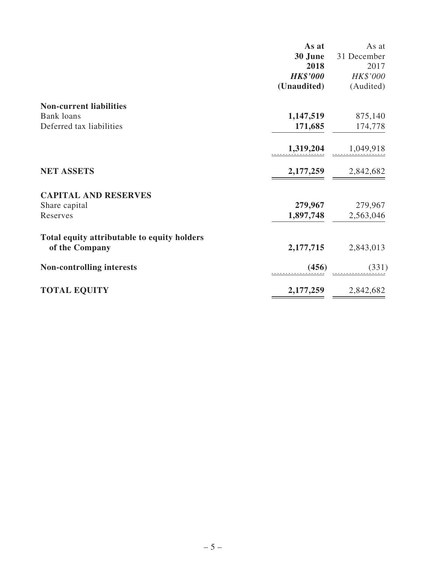|                                             | As at           | As at       |
|---------------------------------------------|-----------------|-------------|
|                                             | 30 June         | 31 December |
|                                             | 2018            | 2017        |
|                                             | <b>HK\$'000</b> | HK\$'000    |
|                                             | (Unaudited)     | (Audited)   |
| <b>Non-current liabilities</b>              |                 |             |
| <b>Bank loans</b>                           | 1,147,519       | 875,140     |
| Deferred tax liabilities                    | 171,685         | 174,778     |
|                                             | 1,319,204       | 1,049,918   |
|                                             |                 |             |
| <b>NET ASSETS</b>                           | 2,177,259       | 2,842,682   |
| <b>CAPITAL AND RESERVES</b>                 |                 |             |
| Share capital                               | 279,967         | 279,967     |
| Reserves                                    | 1,897,748       | 2,563,046   |
| Total equity attributable to equity holders |                 |             |
| of the Company                              | 2,177,715       | 2,843,013   |
| <b>Non-controlling interests</b>            | (456)           | (331)       |
|                                             |                 |             |
| <b>TOTAL EQUITY</b>                         | 2,177,259       | 2,842,682   |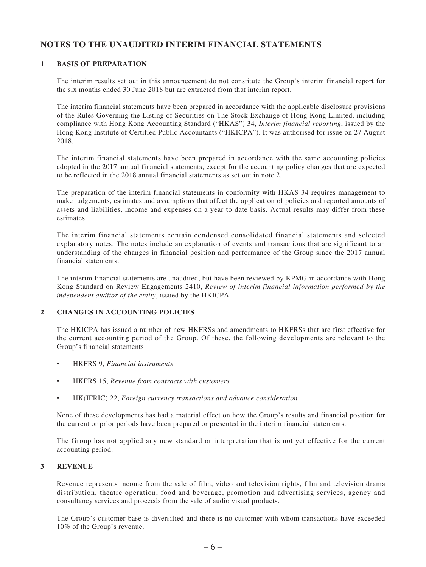## **NOTES TO THE UNAUDITED INTERIM FINANCIAL STATEMENTS**

#### **1 BASIS OF PREPARATION**

The interim results set out in this announcement do not constitute the Group's interim financial report for the six months ended 30 June 2018 but are extracted from that interim report.

The interim financial statements have been prepared in accordance with the applicable disclosure provisions of the Rules Governing the Listing of Securities on The Stock Exchange of Hong Kong Limited, including compliance with Hong Kong Accounting Standard ("HKAS") 34, *Interim financial reporting*, issued by the Hong Kong Institute of Certified Public Accountants ("HKICPA"). It was authorised for issue on 27 August 2018.

The interim financial statements have been prepared in accordance with the same accounting policies adopted in the 2017 annual financial statements, except for the accounting policy changes that are expected to be reflected in the 2018 annual financial statements as set out in note 2.

The preparation of the interim financial statements in conformity with HKAS 34 requires management to make judgements, estimates and assumptions that affect the application of policies and reported amounts of assets and liabilities, income and expenses on a year to date basis. Actual results may differ from these estimates.

The interim financial statements contain condensed consolidated financial statements and selected explanatory notes. The notes include an explanation of events and transactions that are significant to an understanding of the changes in financial position and performance of the Group since the 2017 annual financial statements.

The interim financial statements are unaudited, but have been reviewed by KPMG in accordance with Hong Kong Standard on Review Engagements 2410, *Review of interim financial information performed by the independent auditor of the entity*, issued by the HKICPA.

#### **2 CHANGES IN ACCOUNTING POLICIES**

The HKICPA has issued a number of new HKFRSs and amendments to HKFRSs that are first effective for the current accounting period of the Group. Of these, the following developments are relevant to the Group's financial statements:

- • HKFRS 9, *Financial instruments*
- • HKFRS 15, *Revenue from contracts with customers*
- • HK(IFRIC) 22, *Foreign currency transactions and advance consideration*

None of these developments has had a material effect on how the Group's results and financial position for the current or prior periods have been prepared or presented in the interim financial statements.

The Group has not applied any new standard or interpretation that is not yet effective for the current accounting period.

#### **3 REVENUE**

Revenue represents income from the sale of film, video and television rights, film and television drama distribution, theatre operation, food and beverage, promotion and advertising services, agency and consultancy services and proceeds from the sale of audio visual products.

The Group's customer base is diversified and there is no customer with whom transactions have exceeded 10% of the Group's revenue.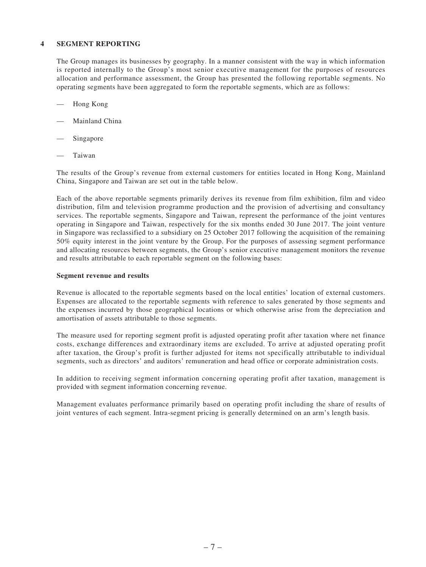#### **4 SEGMENT REPORTING**

The Group manages its businesses by geography. In a manner consistent with the way in which information is reported internally to the Group's most senior executive management for the purposes of resources allocation and performance assessment, the Group has presented the following reportable segments. No operating segments have been aggregated to form the reportable segments, which are as follows:

- Hong Kong
- Mainland China
- Singapore
- **Taiwan**

The results of the Group's revenue from external customers for entities located in Hong Kong, Mainland China, Singapore and Taiwan are set out in the table below.

Each of the above reportable segments primarily derives its revenue from film exhibition, film and video distribution, film and television programme production and the provision of advertising and consultancy services. The reportable segments, Singapore and Taiwan, represent the performance of the joint ventures operating in Singapore and Taiwan, respectively for the six months ended 30 June 2017. The joint venture in Singapore was reclassified to a subsidiary on 25 October 2017 following the acquisition of the remaining 50% equity interest in the joint venture by the Group. For the purposes of assessing segment performance and allocating resources between segments, the Group's senior executive management monitors the revenue and results attributable to each reportable segment on the following bases:

#### **Segment revenue and results**

Revenue is allocated to the reportable segments based on the local entities' location of external customers. Expenses are allocated to the reportable segments with reference to sales generated by those segments and the expenses incurred by those geographical locations or which otherwise arise from the depreciation and amortisation of assets attributable to those segments.

The measure used for reporting segment profit is adjusted operating profit after taxation where net finance costs, exchange differences and extraordinary items are excluded. To arrive at adjusted operating profit after taxation, the Group's profit is further adjusted for items not specifically attributable to individual segments, such as directors' and auditors' remuneration and head office or corporate administration costs.

In addition to receiving segment information concerning operating profit after taxation, management is provided with segment information concerning revenue.

Management evaluates performance primarily based on operating profit including the share of results of joint ventures of each segment. Intra-segment pricing is generally determined on an arm's length basis.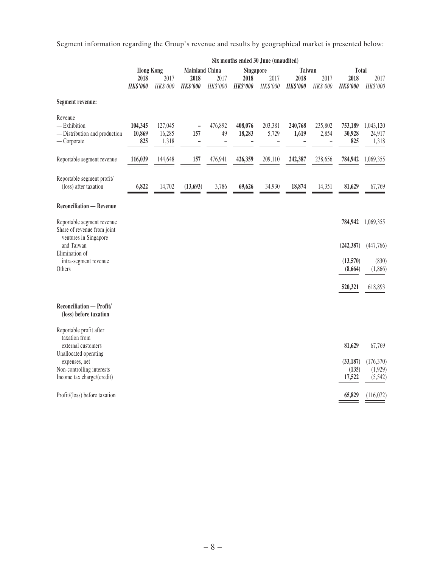Segment information regarding the Group's revenue and results by geographical market is presented below:

| <b>Hong Kong</b><br><b>Mainland China</b><br>Taiwan<br>Singapore                                                                                                                                                                                                                                                                                            | Total                               |
|-------------------------------------------------------------------------------------------------------------------------------------------------------------------------------------------------------------------------------------------------------------------------------------------------------------------------------------------------------------|-------------------------------------|
|                                                                                                                                                                                                                                                                                                                                                             |                                     |
| 2017<br>2017<br>2018<br>2017<br>2018<br>2018<br>2017<br>2018                                                                                                                                                                                                                                                                                                | 2018<br>2017                        |
| HK\$'000<br>HK\$'000<br><b>HK\$'000</b><br><b>HK\$'000</b><br><b>HK\$'000</b><br>HK\$'000<br><b>HK\$'000</b><br><b>HK\$'000</b><br>HK\$'000                                                                                                                                                                                                                 | HK\$'000                            |
| Segment revenue:                                                                                                                                                                                                                                                                                                                                            |                                     |
| Revenue<br>$-$ Exhibition<br>104,345<br>127,045<br>476,892<br>408,076<br>203,381<br>240,768<br>235,802<br>753,189<br>16,285<br>157<br>49<br>5,729<br>- Distribution and production<br>10,869<br>18,283<br>1,619<br>2,854<br>30,928<br>$-$ Corporate<br>825<br>1,318<br>$\overline{\phantom{0}}$<br>$\qquad \qquad -$<br>$\overline{a}$<br>$\qquad \qquad -$ | 1,043,120<br>24,917<br>825<br>1,318 |
| 116,039<br>157<br>476,941<br>426,359<br>209,110<br>242,387<br>238,656<br>Reportable segment revenue<br>144,648<br>784,942                                                                                                                                                                                                                                   | 1,069,355                           |
| Reportable segment profit/<br>(loss) after taxation<br>6,822<br>14,702<br>(13, 693)<br>3,786<br>34,930<br>18,874<br>14,351<br>81,629<br>69,626                                                                                                                                                                                                              | 67,769                              |
| <b>Reconciliation - Revenue</b>                                                                                                                                                                                                                                                                                                                             |                                     |
| Reportable segment revenue<br>784,942<br>Share of revenue from joint<br>ventures in Singapore                                                                                                                                                                                                                                                               | 1,069,355                           |
| and Taiwan<br>(242, 387)<br>Elimination of                                                                                                                                                                                                                                                                                                                  | (447,766)                           |
| (13,570)<br>intra-segment revenue<br>Others<br>(8,664)                                                                                                                                                                                                                                                                                                      | (830)<br>(1,866)                    |
| 520,321                                                                                                                                                                                                                                                                                                                                                     | 618,893                             |
| Reconciliation - Profit/<br>(loss) before taxation                                                                                                                                                                                                                                                                                                          |                                     |
| Reportable profit after<br>taxation from<br>external customers<br>81,629                                                                                                                                                                                                                                                                                    | 67,769                              |
| Unallocated operating                                                                                                                                                                                                                                                                                                                                       |                                     |
| (33, 187)<br>expenses, net<br>Non-controlling interests                                                                                                                                                                                                                                                                                                     | (176, 370)<br>(1,929)<br>(135)      |
| Income tax charge/(credit)<br>17,522                                                                                                                                                                                                                                                                                                                        | (5, 542)                            |
| 65,829<br>Profit/(loss) before taxation                                                                                                                                                                                                                                                                                                                     | (116,072)                           |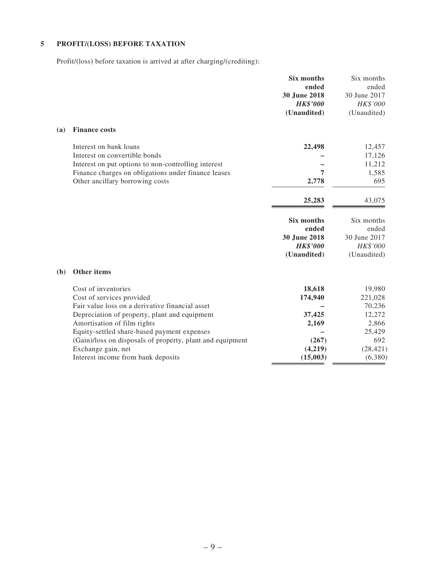## **5 PROFIT/(LOSS) BEFORE TAXATION**

Profit/(loss) before taxation is arrived at after charging/(crediting):

|     |                                                           | Six months<br>ended<br>30 June 2018<br><b>HK\$'000</b><br>(Unaudited) | Six months<br>ended<br>30 June 2017<br>HK\$'000<br>(Unaudited) |
|-----|-----------------------------------------------------------|-----------------------------------------------------------------------|----------------------------------------------------------------|
| (a) | <b>Finance costs</b>                                      |                                                                       |                                                                |
|     | Interest on bank loans                                    | 22,498                                                                |                                                                |
|     | Interest on convertible bonds                             |                                                                       | 12,457<br>17,126                                               |
|     | Interest on put options to non-controlling interest       |                                                                       | 11,212                                                         |
|     | Finance charges on obligations under finance leases       | 7                                                                     | 1,585                                                          |
|     | Other ancillary borrowing costs                           | 2,778                                                                 | 695                                                            |
|     |                                                           | 25,283                                                                | 43,075                                                         |
|     |                                                           | Six months                                                            | Six months                                                     |
|     |                                                           | ended                                                                 | ended                                                          |
|     |                                                           | 30 June 2018                                                          | 30 June 2017                                                   |
|     |                                                           | <b>HK\$'000</b>                                                       | HK\$'000                                                       |
|     |                                                           | (Unaudited)                                                           | (Unaudited)                                                    |
| (b) | Other items                                               |                                                                       |                                                                |
|     | Cost of inventories                                       | 18,618                                                                | 19,980                                                         |
|     | Cost of services provided                                 | 174,940                                                               | 221,028                                                        |
|     | Fair value loss on a derivative financial asset           |                                                                       | 70,236                                                         |
|     | Depreciation of property, plant and equipment             | 37,425                                                                | 12,272                                                         |
|     | Amortisation of film rights                               | 2,169                                                                 | 2,866                                                          |
|     | Equity-settled share-based payment expenses               |                                                                       | 25,429                                                         |
|     | (Gain)/loss on disposals of property, plant and equipment | (267)                                                                 | 692                                                            |
|     | Exchange gain, net                                        | (4,219)                                                               | (28, 421)                                                      |
|     | Interest income from bank deposits                        | (15,003)                                                              | (6,380)                                                        |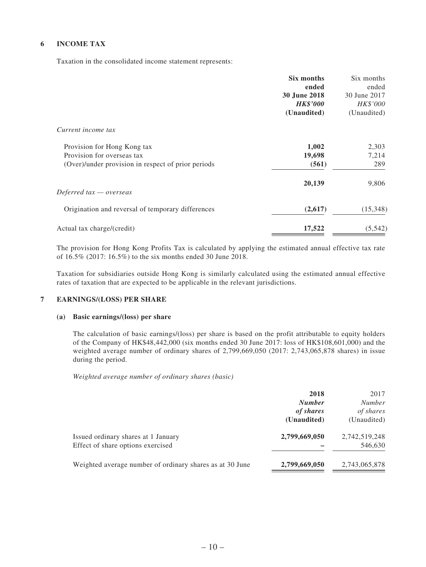#### **6 INCOME TAX**

Taxation in the consolidated income statement represents:

|                                                    | Six months      | Six months   |
|----------------------------------------------------|-----------------|--------------|
|                                                    | ended           | ended        |
|                                                    | 30 June 2018    | 30 June 2017 |
|                                                    | <b>HK\$'000</b> | HK\$'000     |
|                                                    | (Unaudited)     | (Unaudited)  |
| Current income tax                                 |                 |              |
| Provision for Hong Kong tax                        | 1,002           | 2,303        |
| Provision for overseas tax                         | 19,698          | 7,214        |
| (Over)/under provision in respect of prior periods | (561)           | 289          |
|                                                    | 20,139          | 9,806        |
| Deferred $tax -overse$                             |                 |              |
| Origination and reversal of temporary differences  | (2,617)         | (15,348)     |
| Actual tax charge/(credit)                         | 17,522          | (5, 542)     |

The provision for Hong Kong Profits Tax is calculated by applying the estimated annual effective tax rate of 16.5% (2017: 16.5%) to the six months ended 30 June 2018.

Taxation for subsidiaries outside Hong Kong is similarly calculated using the estimated annual effective rates of taxation that are expected to be applicable in the relevant jurisdictions.

#### **7 EARNINGS/(LOSS) PER SHARE**

#### **(a) Basic earnings/(loss) per share**

The calculation of basic earnings/(loss) per share is based on the profit attributable to equity holders of the Company of HK\$48,442,000 (six months ended 30 June 2017: loss of HK\$108,601,000) and the weighted average number of ordinary shares of 2,799,669,050 (2017: 2,743,065,878 shares) in issue during the period.

*Weighted average number of ordinary shares (basic)*

|                                                          | 2018<br><b>Number</b><br>of shares | 2017<br><b>Number</b><br>of shares |
|----------------------------------------------------------|------------------------------------|------------------------------------|
| Issued ordinary shares at 1 January                      | (Unaudited)<br>2,799,669,050       | (Unaudited)<br>2,742,519,248       |
| Effect of share options exercised                        |                                    | 546,630                            |
| Weighted average number of ordinary shares as at 30 June | 2,799,669,050                      | 2,743,065,878                      |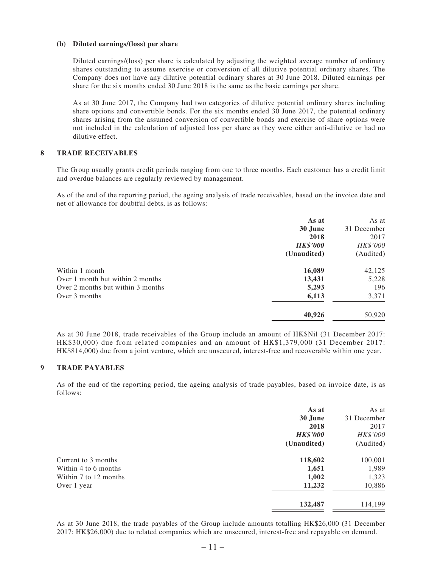#### **(b) Diluted earnings/(loss) per share**

Diluted earnings/(loss) per share is calculated by adjusting the weighted average number of ordinary shares outstanding to assume exercise or conversion of all dilutive potential ordinary shares. The Company does not have any dilutive potential ordinary shares at 30 June 2018. Diluted earnings per share for the six months ended 30 June 2018 is the same as the basic earnings per share.

As at 30 June 2017, the Company had two categories of dilutive potential ordinary shares including share options and convertible bonds. For the six months ended 30 June 2017, the potential ordinary shares arising from the assumed conversion of convertible bonds and exercise of share options were not included in the calculation of adjusted loss per share as they were either anti-dilutive or had no dilutive effect.

#### **8 TRADE RECEIVABLES**

The Group usually grants credit periods ranging from one to three months. Each customer has a credit limit and overdue balances are regularly reviewed by management.

As of the end of the reporting period, the ageing analysis of trade receivables, based on the invoice date and net of allowance for doubtful debts, is as follows:

|                                   | As at           | As at       |
|-----------------------------------|-----------------|-------------|
|                                   | 30 June         | 31 December |
|                                   | 2018            | 2017        |
|                                   | <b>HK\$'000</b> | HK\$'000    |
|                                   | (Unaudited)     | (Audited)   |
| Within 1 month                    | 16,089          | 42,125      |
| Over 1 month but within 2 months  | 13,431          | 5,228       |
| Over 2 months but within 3 months | 5,293           | 196         |
| Over 3 months                     | 6,113           | 3,371       |
|                                   | 40,926          | 50,920      |

As at 30 June 2018, trade receivables of the Group include an amount of HK\$Nil (31 December 2017: HK\$30,000) due from related companies and an amount of HK\$1,379,000 (31 December 2017: HK\$814,000) due from a joint venture, which are unsecured, interest-free and recoverable within one year.

#### **9 TRADE PAYABLES**

As of the end of the reporting period, the ageing analysis of trade payables, based on invoice date, is as follows:

|                       | As at           | As at       |
|-----------------------|-----------------|-------------|
|                       | 30 June         | 31 December |
|                       | 2018            | 2017        |
|                       | <b>HK\$'000</b> | HK\$'000    |
|                       | (Unaudited)     | (Audited)   |
| Current to 3 months   | 118,602         | 100,001     |
| Within 4 to 6 months  | 1,651           | 1,989       |
| Within 7 to 12 months | 1,002           | 1,323       |
| Over 1 year           | 11,232          | 10,886      |
|                       | 132,487         | 114,199     |

As at 30 June 2018, the trade payables of the Group include amounts totalling HK\$26,000 (31 December 2017: HK\$26,000) due to related companies which are unsecured, interest-free and repayable on demand.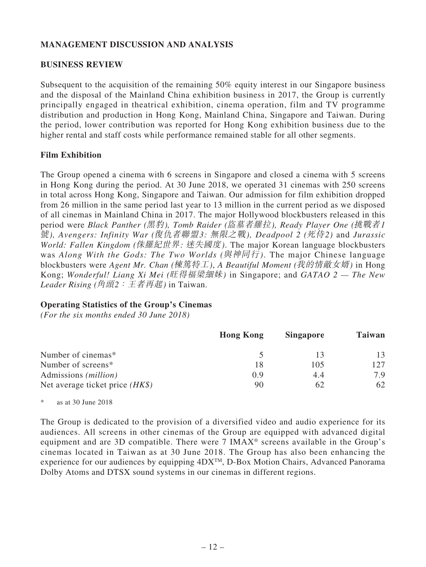## **MANAGEMENT DISCUSSION AND ANALYSIS**

### **BUSINESS REVIEW**

Subsequent to the acquisition of the remaining 50% equity interest in our Singapore business and the disposal of the Mainland China exhibition business in 2017, the Group is currently principally engaged in theatrical exhibition, cinema operation, film and TV programme distribution and production in Hong Kong, Mainland China, Singapore and Taiwan. During the period, lower contribution was reported for Hong Kong exhibition business due to the higher rental and staff costs while performance remained stable for all other segments.

### **Film Exhibition**

The Group opened a cinema with 6 screens in Singapore and closed a cinema with 5 screens in Hong Kong during the period. At 30 June 2018, we operated 31 cinemas with 250 screens in total across Hong Kong, Singapore and Taiwan. Our admission for film exhibition dropped from 26 million in the same period last year to 13 million in the current period as we disposed of all cinemas in Mainland China in 2017. The major Hollywood blockbusters released in this period were *Black Panther (*黑豹*), Tomb Raider (*盜墓者羅拉*), Ready Player One (*挑戰者*1* 號*), Avengers: Infinity War (*復仇者聯盟*3:* 無限之戰*), Deadpool 2 (*死侍*2)* and *Jurassic World: Fallen Kingdom (*侏羅紀世界*:* 迷失國度*)*. The major Korean language blockbusters was *Along With the Gods: The Two Worlds (*與神同行*)*. The major Chinese language blockbusters were *Agent Mr. Chan (*棟篤特工*)*, *A Beautiful Moment (*我的情敵女婿*)* in Hong Kong; *Wonderful! Liang Xi Mei (*旺得福梁細妹*)* in Singapore; and *GATAO 2 — The New Leader Rising (*角頭*2*:王者再起*)* in Taiwan.

### **Operating Statistics of the Group's Cinemas**

*(For the six months ended 30 June 2018)*

|                                   | <b>Hong Kong</b> | <b>Singapore</b> | Taiwan |
|-----------------------------------|------------------|------------------|--------|
| Number of cinemas*                |                  | -13              | 13     |
| Number of screens*                | 18               | 105              | 12.7   |
| Admissions ( <i>million</i> )     | 0.9              | 4.4              | 7.9    |
| Net average ticket price $(HK\$ ) | 90               | 62               | 62     |

\* as at 30 June 2018

The Group is dedicated to the provision of a diversified video and audio experience for its audiences. All screens in other cinemas of the Group are equipped with advanced digital equipment and are 3D compatible. There were 7 IMAX® screens available in the Group's cinemas located in Taiwan as at 30 June 2018. The Group has also been enhancing the experience for our audiences by equipping  $4DX^{TM}$ , D-Box Motion Chairs, Advanced Panorama Dolby Atoms and DTSX sound systems in our cinemas in different regions.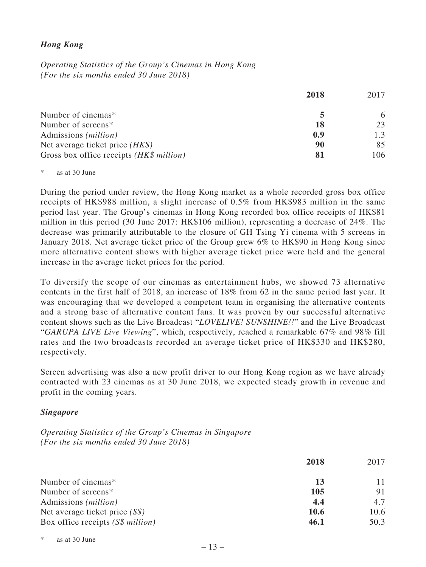## *Hong Kong*

*Operating Statistics of the Group's Cinemas in Hong Kong (For the six months ended 30 June 2018)*

|                                          | 2018 | 2017 |
|------------------------------------------|------|------|
| Number of cinemas*                       |      | 6    |
| Number of screens*                       | 18   | 23   |
| Admissions ( <i>million</i> )            | 0.9  | 1.3  |
| Net average ticket price $(HK\$ )        | 90   | 85   |
| Gross box office receipts (HK\$ million) | 81   | 106  |

\* as at 30 June

During the period under review, the Hong Kong market as a whole recorded gross box office receipts of HK\$988 million, a slight increase of 0.5% from HK\$983 million in the same period last year. The Group's cinemas in Hong Kong recorded box office receipts of HK\$81 million in this period (30 June 2017: HK\$106 million), representing a decrease of 24%. The decrease was primarily attributable to the closure of GH Tsing Yi cinema with 5 screens in January 2018. Net average ticket price of the Group grew 6% to HK\$90 in Hong Kong since more alternative content shows with higher average ticket price were held and the general increase in the average ticket prices for the period.

To diversify the scope of our cinemas as entertainment hubs, we showed 73 alternative contents in the first half of 2018, an increase of 18% from 62 in the same period last year. It was encouraging that we developed a competent team in organising the alternative contents and a strong base of alternative content fans. It was proven by our successful alternative content shows such as the Live Broadcast "*LOVELIVE! SUNSHINE!!*" and the Live Broadcast "*GARUPA LIVE Live Viewing*", which, respectively, reached a remarkable 67% and 98% fill rates and the two broadcasts recorded an average ticket price of HK\$330 and HK\$280, respectively.

Screen advertising was also a new profit driver to our Hong Kong region as we have already contracted with 23 cinemas as at 30 June 2018, we expected steady growth in revenue and profit in the coming years.

### *Singapore*

*Operating Statistics of the Group's Cinemas in Singapore (For the six months ended 30 June 2018)*

|                                   | 2018        | 2017 |
|-----------------------------------|-------------|------|
| Number of cinemas*                | 13          | 11   |
| Number of screens*                | 105         | 91   |
| Admissions ( <i>million</i> )     | 4.4         | 4.7  |
| Net average ticket price $(S\$ )  | <b>10.6</b> | 10.6 |
| Box office receipts (S\$ million) | 46.1        | 50.3 |

as at 30 June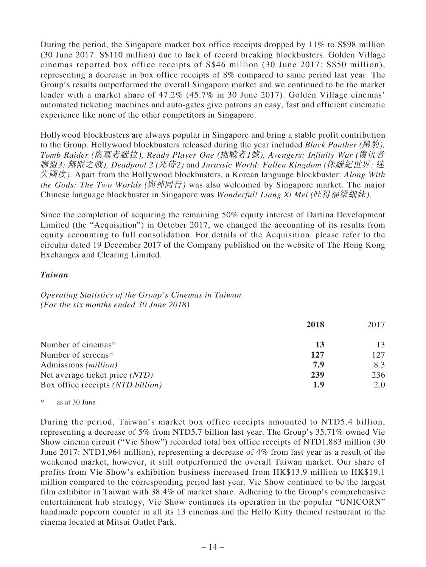During the period, the Singapore market box office receipts dropped by 11% to S\$98 million (30 June 2017: S\$110 million) due to lack of record breaking blockbusters. Golden Village cinemas reported box office receipts of S\$46 million (30 June 2017: S\$50 million), representing a decrease in box office receipts of 8% compared to same period last year. The Group's results outperformed the overall Singapore market and we continued to be the market leader with a market share of 47.2% (45.7% in 30 June 2017). Golden Village cinemas' automated ticketing machines and auto-gates give patrons an easy, fast and efficient cinematic experience like none of the other competitors in Singapore.

Hollywood blockbusters are always popular in Singapore and bring a stable profit contribution to the Group. Hollywood blockbusters released during the year included *Black Panther (*黑豹*), Tomb Raider (*盜墓者羅拉*), Ready Player One (*挑戰者*1*號*), Avengers: Infinity War (*復仇者 聯盟*3:* 無限之戰*), Deadpool 2 (*死侍*2)* and *Jurassic World: Fallen Kingdom (*侏羅紀世界*:* 迷 失國度*)*. Apart from the Hollywood blockbusters, a Korean language blockbuster: *Along With the Gods: The Two Worlds (*與神同行*)* was also welcomed by Singapore market. The major Chinese language blockbuster in Singapore was *Wonderful! Liang Xi Mei (*旺得福梁細妹*)*.

Since the completion of acquiring the remaining 50% equity interest of Dartina Development Limited (the "Acquisition") in October 2017, we changed the accounting of its results from equity accounting to full consolidation. For details of the Acquisition, please refer to the circular dated 19 December 2017 of the Company published on the website of The Hong Kong Exchanges and Clearing Limited.

### *Taiwan*

*Operating Statistics of the Group's Cinemas in Taiwan (For the six months ended 30 June 2018)*

|                                   | 2018 | 2017 |
|-----------------------------------|------|------|
| Number of cinemas*                | 13   | 13   |
| Number of screens*                | 127  | 127  |
| Admissions ( <i>million</i> )     | 7.9  | 8.3  |
| Net average ticket price (NTD)    | 239  | 236  |
| Box office receipts (NTD billion) | 1.9  | 2.0  |

\* as at 30 June

During the period, Taiwan's market box office receipts amounted to NTD5.4 billion, representing a decrease of 5% from NTD5.7 billion last year. The Group's 35.71% owned Vie Show cinema circuit ("Vie Show") recorded total box office receipts of NTD1,883 million (30 June 2017: NTD1,964 million), representing a decrease of 4% from last year as a result of the weakened market, however, it still outperformed the overall Taiwan market. Our share of profits from Vie Show's exhibition business increased from HK\$13.9 million to HK\$19.1 million compared to the corresponding period last year. Vie Show continued to be the largest film exhibitor in Taiwan with 38.4% of market share. Adhering to the Group's comprehensive entertainment hub strategy, Vie Show continues its operation in the popular "UNICORN" handmade popcorn counter in all its 13 cinemas and the Hello Kitty themed restaurant in the cinema located at Mitsui Outlet Park.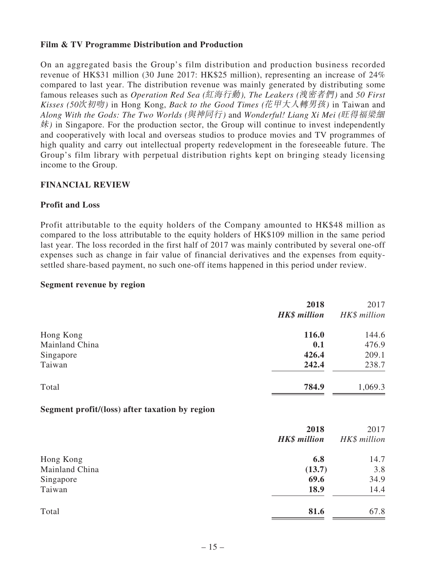## **Film & TV Programme Distribution and Production**

On an aggregated basis the Group's film distribution and production business recorded revenue of HK\$31 million (30 June 2017: HK\$25 million), representing an increase of 24% compared to last year. The distribution revenue was mainly generated by distributing some famous releases such as *Operation Red Sea (*紅海行動*), The Leakers (*洩密者們*)* and *50 First Kisses (50*次初吻*)* in Hong Kong, *Back to the Good Times (*花甲大人轉男孩*)* in Taiwan and *Along With the Gods: The Two Worlds (*與神同行*)* and *Wonderful! Liang Xi Mei (*旺得福梁細 妹*)* in Singapore. For the production sector, the Group will continue to invest independently and cooperatively with local and overseas studios to produce movies and TV programmes of high quality and carry out intellectual property redevelopment in the foreseeable future. The Group's film library with perpetual distribution rights kept on bringing steady licensing income to the Group.

## **FINANCIAL REVIEW**

### **Profit and Loss**

Profit attributable to the equity holders of the Company amounted to HK\$48 million as compared to the loss attributable to the equity holders of HK\$109 million in the same period last year. The loss recorded in the first half of 2017 was mainly contributed by several one-off expenses such as change in fair value of financial derivatives and the expenses from equitysettled share-based payment, no such one-off items happened in this period under review.

### **Segment revenue by region**

| HK\$ million<br>144.6<br>476.9<br>209.1 |
|-----------------------------------------|
|                                         |
|                                         |
|                                         |
|                                         |
| 238.7                                   |
| 1,069.3                                 |
|                                         |
| 2017                                    |
| HK\$ million                            |
| 14.7                                    |
| 3.8                                     |
| 34.9                                    |
| 14.4                                    |
| 67.8                                    |
|                                         |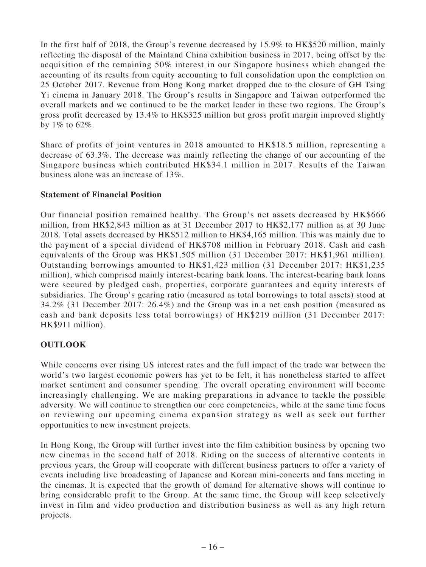In the first half of 2018, the Group's revenue decreased by 15.9% to HK\$520 million, mainly reflecting the disposal of the Mainland China exhibition business in 2017, being offset by the acquisition of the remaining 50% interest in our Singapore business which changed the accounting of its results from equity accounting to full consolidation upon the completion on 25 October 2017. Revenue from Hong Kong market dropped due to the closure of GH Tsing Yi cinema in January 2018. The Group's results in Singapore and Taiwan outperformed the overall markets and we continued to be the market leader in these two regions. The Group's gross profit decreased by 13.4% to HK\$325 million but gross profit margin improved slightly by 1% to 62%.

Share of profits of joint ventures in 2018 amounted to HK\$18.5 million, representing a decrease of 63.3%. The decrease was mainly reflecting the change of our accounting of the Singapore business which contributed HK\$34.1 million in 2017. Results of the Taiwan business alone was an increase of 13%.

## **Statement of Financial Position**

Our financial position remained healthy. The Group's net assets decreased by HK\$666 million, from HK\$2,843 million as at 31 December 2017 to HK\$2,177 million as at 30 June 2018. Total assets decreased by HK\$512 million to HK\$4,165 million. This was mainly due to the payment of a special dividend of HK\$708 million in February 2018. Cash and cash equivalents of the Group was HK\$1,505 million (31 December 2017: HK\$1,961 million). Outstanding borrowings amounted to HK\$1,423 million (31 December 2017: HK\$1,235 million), which comprised mainly interest-bearing bank loans. The interest-bearing bank loans were secured by pledged cash, properties, corporate guarantees and equity interests of subsidiaries. The Group's gearing ratio (measured as total borrowings to total assets) stood at 34.2% (31 December 2017: 26.4%) and the Group was in a net cash position (measured as cash and bank deposits less total borrowings) of HK\$219 million (31 December 2017: HK\$911 million).

## **OUTLOOK**

While concerns over rising US interest rates and the full impact of the trade war between the world's two largest economic powers has yet to be felt, it has nonetheless started to affect market sentiment and consumer spending. The overall operating environment will become increasingly challenging. We are making preparations in advance to tackle the possible adversity. We will continue to strengthen our core competencies, while at the same time focus on reviewing our upcoming cinema expansion strategy as well as seek out further opportunities to new investment projects.

In Hong Kong, the Group will further invest into the film exhibition business by opening two new cinemas in the second half of 2018. Riding on the success of alternative contents in previous years, the Group will cooperate with different business partners to offer a variety of events including live broadcasting of Japanese and Korean mini-concerts and fans meeting in the cinemas. It is expected that the growth of demand for alternative shows will continue to bring considerable profit to the Group. At the same time, the Group will keep selectively invest in film and video production and distribution business as well as any high return projects.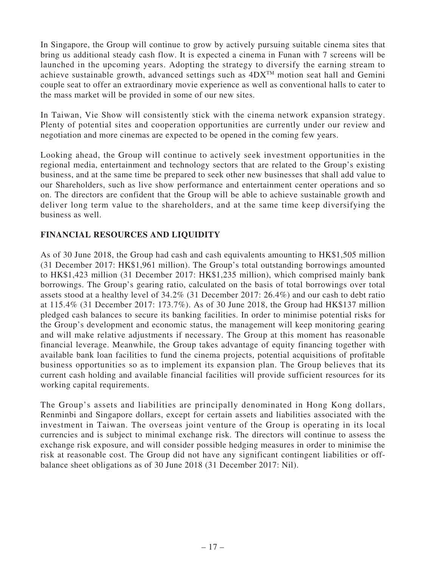In Singapore, the Group will continue to grow by actively pursuing suitable cinema sites that bring us additional steady cash flow. It is expected a cinema in Funan with 7 screens will be launched in the upcoming years. Adopting the strategy to diversify the earning stream to achieve sustainable growth, advanced settings such as  $4DX^{TM}$  motion seat hall and Gemini couple seat to offer an extraordinary movie experience as well as conventional halls to cater to the mass market will be provided in some of our new sites.

In Taiwan, Vie Show will consistently stick with the cinema network expansion strategy. Plenty of potential sites and cooperation opportunities are currently under our review and negotiation and more cinemas are expected to be opened in the coming few years.

Looking ahead, the Group will continue to actively seek investment opportunities in the regional media, entertainment and technology sectors that are related to the Group's existing business, and at the same time be prepared to seek other new businesses that shall add value to our Shareholders, such as live show performance and entertainment center operations and so on. The directors are confident that the Group will be able to achieve sustainable growth and deliver long term value to the shareholders, and at the same time keep diversifying the business as well.

## **FINANCIAL RESOURCES AND LIQUIDITY**

As of 30 June 2018, the Group had cash and cash equivalents amounting to HK\$1,505 million (31 December 2017: HK\$1,961 million). The Group's total outstanding borrowings amounted to HK\$1,423 million (31 December 2017: HK\$1,235 million), which comprised mainly bank borrowings. The Group's gearing ratio, calculated on the basis of total borrowings over total assets stood at a healthy level of 34.2% (31 December 2017: 26.4%) and our cash to debt ratio at 115.4% (31 December 2017: 173.7%). As of 30 June 2018, the Group had HK\$137 million pledged cash balances to secure its banking facilities. In order to minimise potential risks for the Group's development and economic status, the management will keep monitoring gearing and will make relative adjustments if necessary. The Group at this moment has reasonable financial leverage. Meanwhile, the Group takes advantage of equity financing together with available bank loan facilities to fund the cinema projects, potential acquisitions of profitable business opportunities so as to implement its expansion plan. The Group believes that its current cash holding and available financial facilities will provide sufficient resources for its working capital requirements.

The Group's assets and liabilities are principally denominated in Hong Kong dollars, Renminbi and Singapore dollars, except for certain assets and liabilities associated with the investment in Taiwan. The overseas joint venture of the Group is operating in its local currencies and is subject to minimal exchange risk. The directors will continue to assess the exchange risk exposure, and will consider possible hedging measures in order to minimise the risk at reasonable cost. The Group did not have any significant contingent liabilities or offbalance sheet obligations as of 30 June 2018 (31 December 2017: Nil).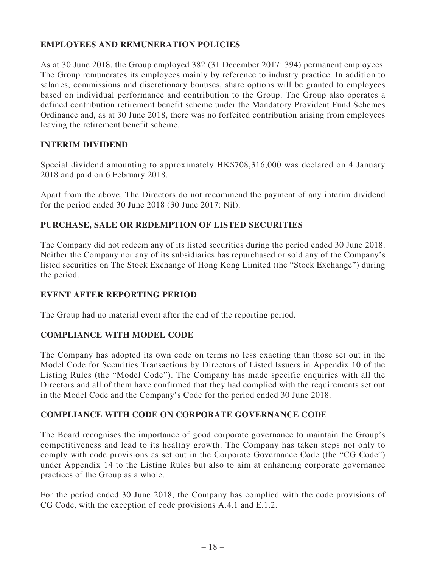## **EMPLOYEES AND REMUNERATION POLICIES**

As at 30 June 2018, the Group employed 382 (31 December 2017: 394) permanent employees. The Group remunerates its employees mainly by reference to industry practice. In addition to salaries, commissions and discretionary bonuses, share options will be granted to employees based on individual performance and contribution to the Group. The Group also operates a defined contribution retirement benefit scheme under the Mandatory Provident Fund Schemes Ordinance and, as at 30 June 2018, there was no forfeited contribution arising from employees leaving the retirement benefit scheme.

### **INTERIM DIVIDEND**

Special dividend amounting to approximately HK\$708,316,000 was declared on 4 January 2018 and paid on 6 February 2018.

Apart from the above, The Directors do not recommend the payment of any interim dividend for the period ended 30 June 2018 (30 June 2017: Nil).

## **PURCHASE, SALE OR REDEMPTION OF LISTED SECURITIES**

The Company did not redeem any of its listed securities during the period ended 30 June 2018. Neither the Company nor any of its subsidiaries has repurchased or sold any of the Company's listed securities on The Stock Exchange of Hong Kong Limited (the "Stock Exchange") during the period.

### **EVENT AFTER REPORTING PERIOD**

The Group had no material event after the end of the reporting period.

## **COMPLIANCE WITH MODEL CODE**

The Company has adopted its own code on terms no less exacting than those set out in the Model Code for Securities Transactions by Directors of Listed Issuers in Appendix 10 of the Listing Rules (the "Model Code"). The Company has made specific enquiries with all the Directors and all of them have confirmed that they had complied with the requirements set out in the Model Code and the Company's Code for the period ended 30 June 2018.

## **COMPLIANCE WITH CODE ON CORPORATE GOVERNANCE CODE**

The Board recognises the importance of good corporate governance to maintain the Group's competitiveness and lead to its healthy growth. The Company has taken steps not only to comply with code provisions as set out in the Corporate Governance Code (the "CG Code") under Appendix 14 to the Listing Rules but also to aim at enhancing corporate governance practices of the Group as a whole.

For the period ended 30 June 2018, the Company has complied with the code provisions of CG Code, with the exception of code provisions A.4.1 and E.1.2.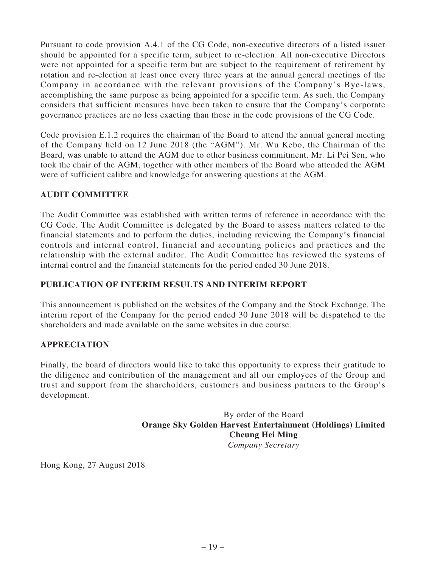Pursuant to code provision A.4.1 of the CG Code, non-executive directors of a listed issuer should be appointed for a specific term, subject to re-election. All non-executive Directors were not appointed for a specific term but are subject to the requirement of retirement by rotation and re-election at least once every three years at the annual general meetings of the Company in accordance with the relevant provisions of the Company's Bye-laws, accomplishing the same purpose as being appointed for a specific term. As such, the Company considers that sufficient measures have been taken to ensure that the Company's corporate governance practices are no less exacting than those in the code provisions of the CG Code.

Code provision E.1.2 requires the chairman of the Board to attend the annual general meeting of the Company held on 12 June 2018 (the "AGM"). Mr. Wu Kebo, the Chairman of the Board, was unable to attend the AGM due to other business commitment. Mr. Li Pei Sen, who took the chair of the AGM, together with other members of the Board who attended the AGM were of sufficient calibre and knowledge for answering questions at the AGM.

## **AUDIT COMMITTEE**

The Audit Committee was established with written terms of reference in accordance with the CG Code. The Audit Committee is delegated by the Board to assess matters related to the financial statements and to perform the duties, including reviewing the Company's financial controls and internal control, financial and accounting policies and practices and the relationship with the external auditor. The Audit Committee has reviewed the systems of internal control and the financial statements for the period ended 30 June 2018.

## **PUBLICATION OF INTERIM RESULTS AND INTERIM REPORT**

This announcement is published on the websites of the Company and the Stock Exchange. The interim report of the Company for the period ended 30 June 2018 will be dispatched to the shareholders and made available on the same websites in due course.

## **APPRECIATION**

Finally, the board of directors would like to take this opportunity to express their gratitude to the diligence and contribution of the management and all our employees of the Group and trust and support from the shareholders, customers and business partners to the Group's development.

> By order of the Board **Orange Sky Golden Harvest Entertainment (Holdings) Limited Cheung Hei Ming** *Company Secretary*

Hong Kong, 27 August 2018